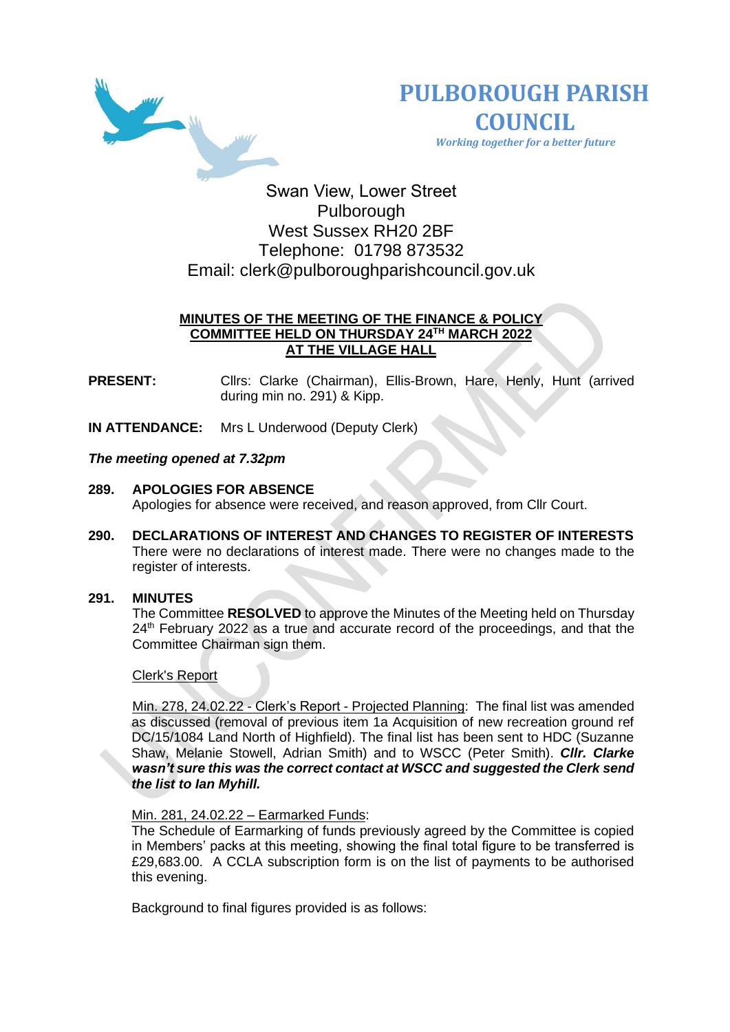



 *Working together for a better future*

Swan View, Lower Street Pulborough West Sussex RH20 2BF Telephone: 01798 873532 Email: [clerk@pulboroughparishcouncil.gov.uk](mailto:clerk@pulboroughparishcouncil.gov.uk)

# **MINUTES OF THE MEETING OF THE FINANCE & POLICY COMMITTEE HELD ON THURSDAY 24TH MARCH 2022 AT THE VILLAGE HALL**

**PRESENT:** Clirs: Clarke (Chairman), Ellis-Brown, Hare, Henly, Hunt (arrived during min no. 291) & Kipp.

**IN ATTENDANCE:** Mrs L Underwood (Deputy Clerk)

### *The meeting opened at 7.32pm*

- **289. APOLOGIES FOR ABSENCE**  Apologies for absence were received, and reason approved, from Cllr Court.
- **290. DECLARATIONS OF INTEREST AND CHANGES TO REGISTER OF INTERESTS** There were no declarations of interest made. There were no changes made to the register of interests.

### **291. MINUTES**

The Committee **RESOLVED** to approve the Minutes of the Meeting held on Thursday 24<sup>th</sup> February 2022 as a true and accurate record of the proceedings, and that the Committee Chairman sign them.

#### Clerk's Report

Min. 278, 24.02.22 - Clerk's Report - Projected Planning: The final list was amended as discussed (removal of previous item 1a Acquisition of new recreation ground ref DC/15/1084 Land North of Highfield). The final list has been sent to HDC (Suzanne Shaw, Melanie Stowell, Adrian Smith) and to WSCC (Peter Smith). *Cllr. Clarke wasn't sure this was the correct contact at WSCC and suggested the Clerk send the list to Ian Myhill.*

#### Min. 281, 24.02.22 – Earmarked Funds:

The Schedule of Earmarking of funds previously agreed by the Committee is copied in Members' packs at this meeting, showing the final total figure to be transferred is £29,683.00. A CCLA subscription form is on the list of payments to be authorised this evening.

Background to final figures provided is as follows: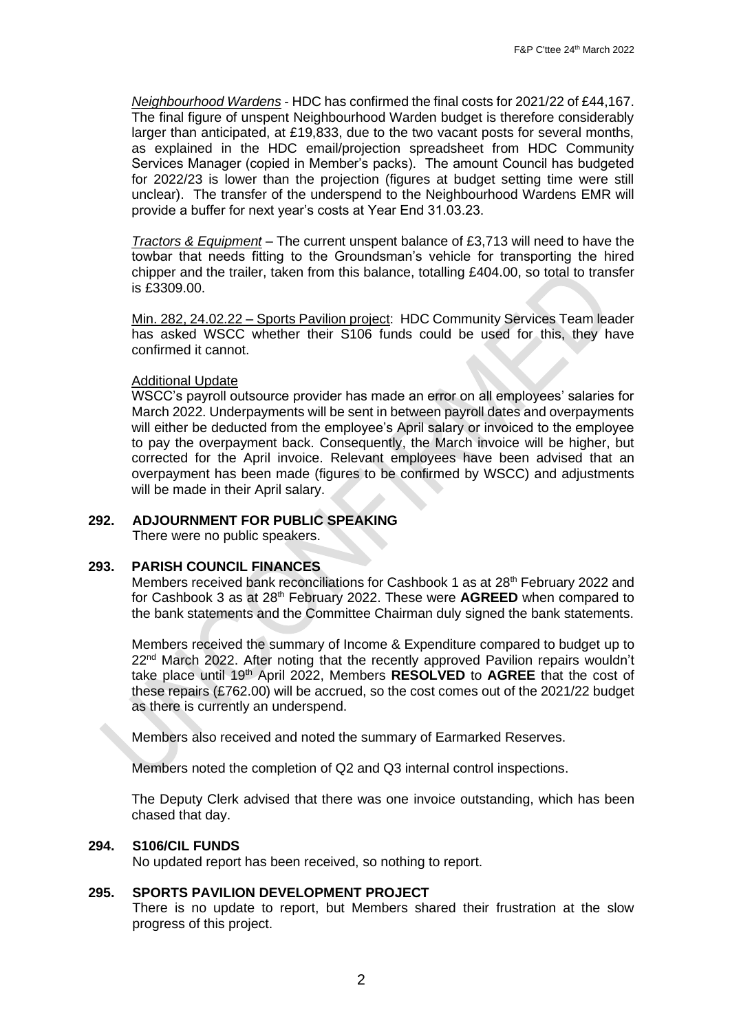*Neighbourhood Wardens* - HDC has confirmed the final costs for 2021/22 of £44,167. The final figure of unspent Neighbourhood Warden budget is therefore considerably larger than anticipated, at £19,833, due to the two vacant posts for several months, as explained in the HDC email/projection spreadsheet from HDC Community Services Manager (copied in Member's packs). The amount Council has budgeted for 2022/23 is lower than the projection (figures at budget setting time were still unclear). The transfer of the underspend to the Neighbourhood Wardens EMR will provide a buffer for next year's costs at Year End 31.03.23.

*Tractors & Equipment* – The current unspent balance of £3,713 will need to have the towbar that needs fitting to the Groundsman's vehicle for transporting the hired chipper and the trailer, taken from this balance, totalling £404.00, so total to transfer is £3309.00.

Min. 282, 24.02.22 – Sports Pavilion project: HDC Community Services Team leader has asked WSCC whether their S106 funds could be used for this, they have confirmed it cannot.

### Additional Update

WSCC's payroll outsource provider has made an error on all employees' salaries for March 2022. Underpayments will be sent in between payroll dates and overpayments will either be deducted from the employee's April salary or invoiced to the employee to pay the overpayment back. Consequently, the March invoice will be higher, but corrected for the April invoice. Relevant employees have been advised that an overpayment has been made (figures to be confirmed by WSCC) and adjustments will be made in their April salary.

# **292. ADJOURNMENT FOR PUBLIC SPEAKING**

There were no public speakers.

# **293. PARISH COUNCIL FINANCES**

Members received bank reconciliations for Cashbook 1 as at 28<sup>th</sup> February 2022 and for Cashbook 3 as at 28th February 2022. These were **AGREED** when compared to the bank statements and the Committee Chairman duly signed the bank statements.

Members received the summary of Income & Expenditure compared to budget up to  $22<sup>nd</sup>$  March 2022. After noting that the recently approved Pavilion repairs wouldn't take place until 19th April 2022, Members **RESOLVED** to **AGREE** that the cost of these repairs (£762.00) will be accrued, so the cost comes out of the 2021/22 budget as there is currently an underspend.

Members also received and noted the summary of Earmarked Reserves.

Members noted the completion of Q2 and Q3 internal control inspections.

The Deputy Clerk advised that there was one invoice outstanding, which has been chased that day.

#### **294. S106/CIL FUNDS**

No updated report has been received, so nothing to report.

# **295. SPORTS PAVILION DEVELOPMENT PROJECT**

There is no update to report, but Members shared their frustration at the slow progress of this project.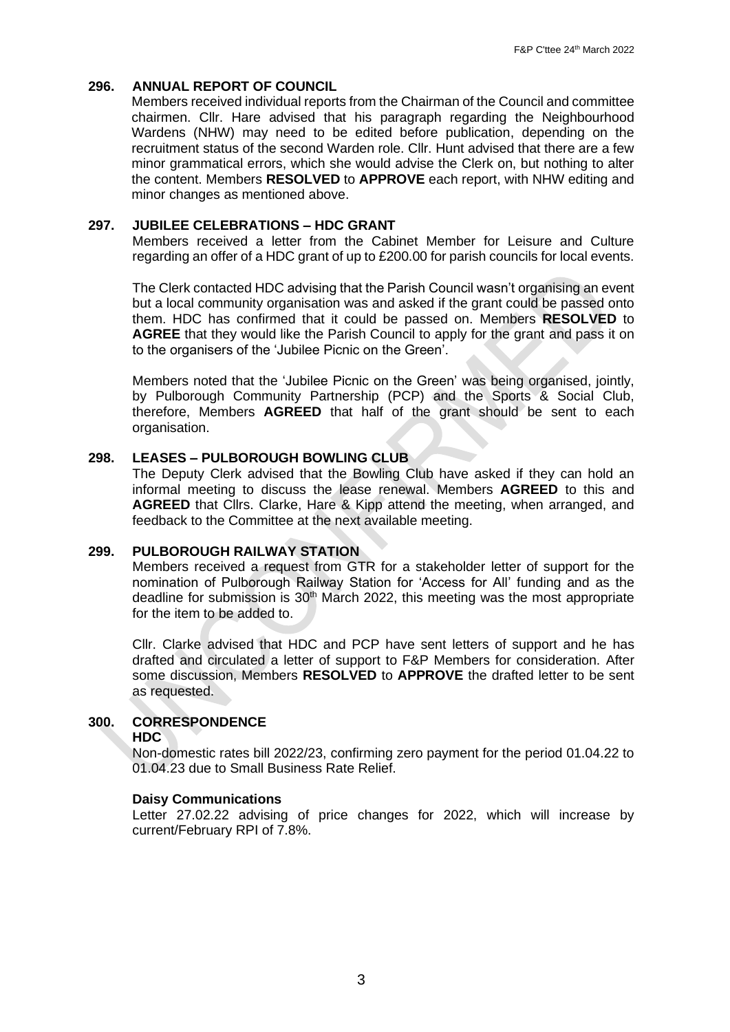# **296. ANNUAL REPORT OF COUNCIL**

Members received individual reports from the Chairman of the Council and committee chairmen. Cllr. Hare advised that his paragraph regarding the Neighbourhood Wardens (NHW) may need to be edited before publication, depending on the recruitment status of the second Warden role. Cllr. Hunt advised that there are a few minor grammatical errors, which she would advise the Clerk on, but nothing to alter the content. Members **RESOLVED** to **APPROVE** each report, with NHW editing and minor changes as mentioned above.

# **297. JUBILEE CELEBRATIONS – HDC GRANT**

Members received a letter from the Cabinet Member for Leisure and Culture regarding an offer of a HDC grant of up to £200.00 for parish councils for local events.

The Clerk contacted HDC advising that the Parish Council wasn't organising an event but a local community organisation was and asked if the grant could be passed onto them. HDC has confirmed that it could be passed on. Members **RESOLVED** to **AGREE** that they would like the Parish Council to apply for the grant and pass it on to the organisers of the 'Jubilee Picnic on the Green'.

Members noted that the 'Jubilee Picnic on the Green' was being organised, jointly, by Pulborough Community Partnership (PCP) and the Sports & Social Club, therefore, Members **AGREED** that half of the grant should be sent to each organisation.

### **298. LEASES – PULBOROUGH BOWLING CLUB**

The Deputy Clerk advised that the Bowling Club have asked if they can hold an informal meeting to discuss the lease renewal. Members **AGREED** to this and **AGREED** that Cllrs. Clarke, Hare & Kipp attend the meeting, when arranged, and feedback to the Committee at the next available meeting.

#### **299. PULBOROUGH RAILWAY STATION**

Members received a request from GTR for a stakeholder letter of support for the nomination of Pulborough Railway Station for 'Access for All' funding and as the deadline for submission is 30<sup>th</sup> March 2022, this meeting was the most appropriate for the item to be added to.

Cllr. Clarke advised that HDC and PCP have sent letters of support and he has drafted and circulated a letter of support to F&P Members for consideration. After some discussion, Members **RESOLVED** to **APPROVE** the drafted letter to be sent as requested.

# **300. CORRESPONDENCE**

#### **HDC**

Non-domestic rates bill 2022/23, confirming zero payment for the period 01.04.22 to 01.04.23 due to Small Business Rate Relief.

#### **Daisy Communications**

Letter 27.02.22 advising of price changes for 2022, which will increase by current/February RPI of 7.8%.